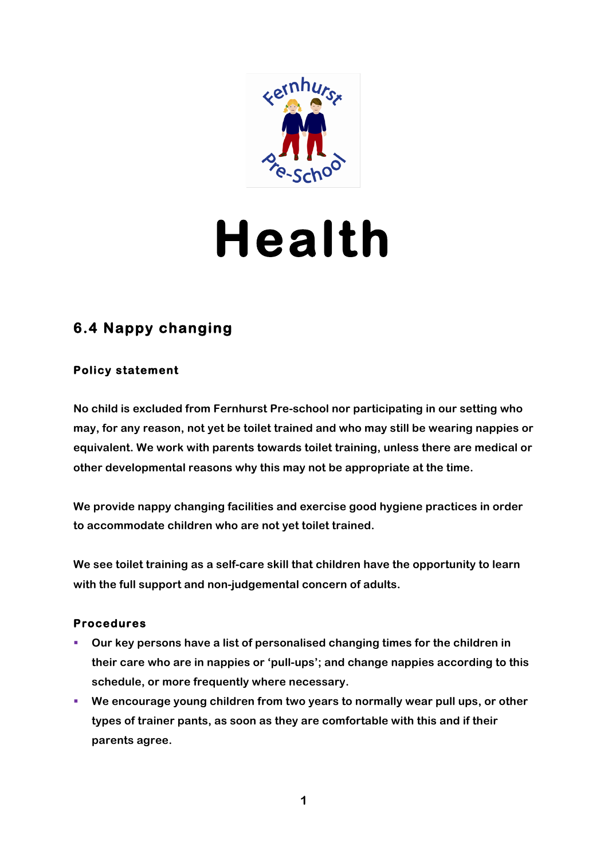

## **Health**

## **6.4 Nappy changing**

## **Policy statement**

**No child is excluded from Fernhurst Pre-school nor participating in our setting who may, for any reason, not yet be toilet trained and who may still be wearing nappies or equivalent. We work with parents towards toilet training, unless there are medical or other developmental reasons why this may not be appropriate at the time.**

**We provide nappy changing facilities and exercise good hygiene practices in order to accommodate children who are not yet toilet trained.**

**We see toilet training as a self-care skill that children have the opportunity to learn with the full support and non-judgemental concern of adults.**

## **Procedures**

- § **Our key persons have a list of personalised changing times for the children in their care who are in nappies or 'pull-ups'; and change nappies according to this schedule, or more frequently where necessary.**
- § **We encourage young children from two years to normally wear pull ups, or other types of trainer pants, as soon as they are comfortable with this and if their parents agree.**

**1**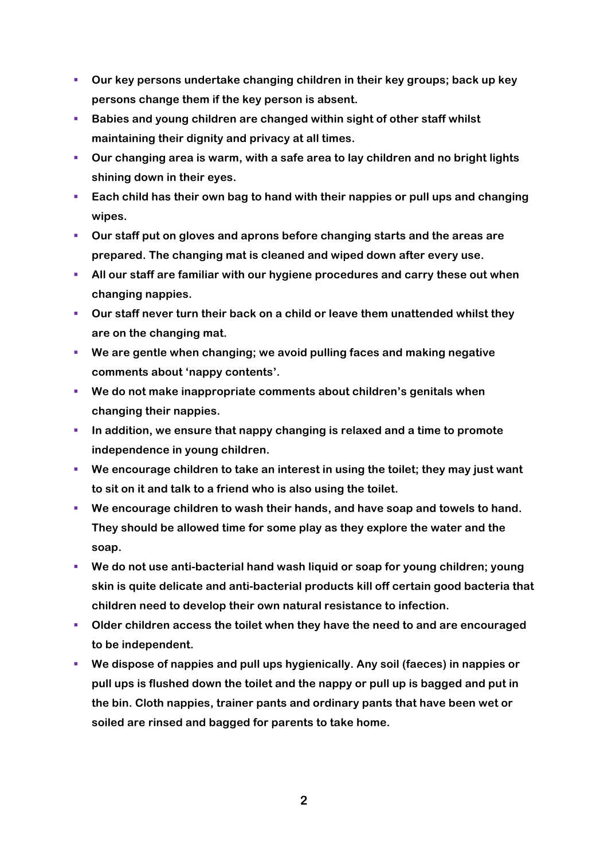- § **Our key persons undertake changing children in their key groups; back up key persons change them if the key person is absent.**
- § **Babies and young children are changed within sight of other staff whilst maintaining their dignity and privacy at all times.**
- § **Our changing area is warm, with a safe area to lay children and no bright lights shining down in their eyes.**
- § **Each child has their own bag to hand with their nappies or pull ups and changing wipes.**
- § **Our staff put on gloves and aprons before changing starts and the areas are prepared. The changing mat is cleaned and wiped down after every use.**
- **EXTERF All our staff are familiar with our hygiene procedures and carry these out when changing nappies.**
- § **Our staff never turn their back on a child or leave them unattended whilst they are on the changing mat.**
- § **We are gentle when changing; we avoid pulling faces and making negative comments about 'nappy contents'.**
- § **We do not make inappropriate comments about children's genitals when changing their nappies.**
- § **In addition, we ensure that nappy changing is relaxed and a time to promote independence in young children.**
- § **We encourage children to take an interest in using the toilet; they may just want to sit on it and talk to a friend who is also using the toilet.**
- § **We encourage children to wash their hands, and have soap and towels to hand. They should be allowed time for some play as they explore the water and the soap.**
- § **We do not use anti-bacterial hand wash liquid or soap for young children; young skin is quite delicate and anti-bacterial products kill off certain good bacteria that children need to develop their own natural resistance to infection.**
- § **Older children access the toilet when they have the need to and are encouraged to be independent.**
- We dispose of nappies and pull ups hygienically. Any soil (faeces) in nappies or **pull ups is flushed down the toilet and the nappy or pull up is bagged and put in the bin. Cloth nappies, trainer pants and ordinary pants that have been wet or soiled are rinsed and bagged for parents to take home.**